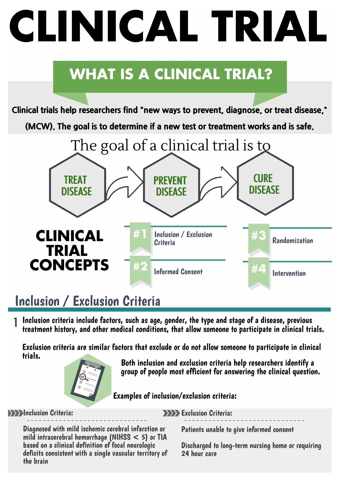# **CLINICAL TRIAL**

## **WHAT IS A CLINICAL TRIAL?**

**Clinical trials help researchers find "new ways to prevent, diagnose, or treat disease,"**

**(MCW). The goal is to determine if a new test or treatment works and is safe.**



## Inclusion / Exclusion Criteria

Inclusion criteria include factors, such as age, gender, the type and stage of a disease, previous treatment history, and other medical conditions, that allow someone to participate in clinical trials. 1

Exclusion criteria are similar factors that exclude or do not allow someone to participate in clinical trials.



Both inclusion and exclusion criteria help researchers identify a group of people most efficient for answering the clinical question.

Examples of inclusion/exclusion criteria:

**Inclusion Criteria:** 

**Exclusion Criteria:** 

Diagnosed with mild ischemic cerebral infarction or mild intracerebral hemorrhage (NIHSS < 5) or TIA based on a clinical definition of focal neurologic deficits consistent with a single vascular territory of the brain

Patients unable to give informed consent

Discharged to long-term nursing home or requiring 24 hour care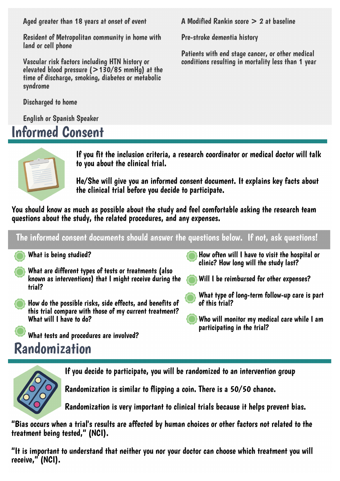Aged greater than 18 years at onset of event

Resident of Metropolitan community in home with land or cell phone

Vascular risk factors including HTN history or elevated blood pressure (>130/85 mmHg) at the time of discharge, smoking, diabetes or metabolic syndrome

Discharged to home

English or Spanish Speaker

## Informed Consent

A Modified Rankin score > 2 at baseline

Pre-stroke dementia history

Patients with end stage cancer, or other medical conditions resulting in mortality less than 1 year



If you fit the inclusion criteria, a research coordinator or medical doctor will talk to you about the clinical trial.

He/She will give you an informed consent document. It explains key facts about the clinical trial before you decide to participate.

You should know as much as possible about the study and feel comfortable asking the research team questions about the study, the related procedures, and any expenses.

The informed consent documents should answer the questions below. If not, ask questions!

What is being studied?

- What are different types of tests or treatments (also known as interventions) that I might receive during the trial?
- How do the possible risks, side effects, and benefits of this trial compare with those of my current treatment? What will I have to do?

What tests and procedures are involved?

## Randomization

How often will I have to visit the hospital or clinic? How long will the study last?

- Will I be reimbursed for other expenses?
- What type of long-term follow-up care is part of this trial?
- Who will monitor my medical care while I am participating in the trial?



If you decide to participate, you will be randomized to an intervention group

Randomization is similar to flipping a coin. There is a 50/50 chance.

Randomization is very important to clinical trials because it helps prevent bias.

"Bias occurs when a trial's results are affected by human choices or other factors not related to the treatment being tested, " (NCI).

"It is important to understand that neither you nor your doctor can choose which treatment you will receive, " (NCI).